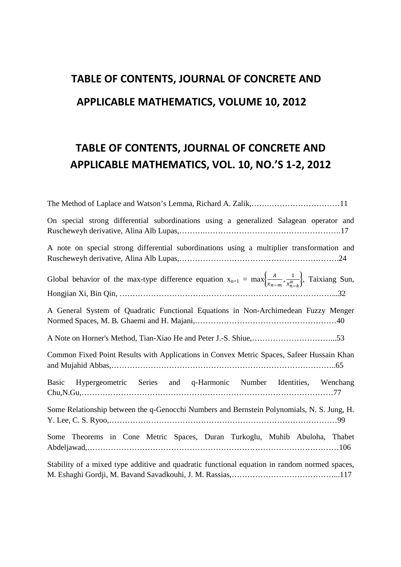## **TABLE OF CONTENTS, JOURNAL OF CONCRETE AND APPLICABLE MATHEMATICS, VOLUME 10, 2012**

## **TABLE OF CONTENTS, JOURNAL OF CONCRETE AND APPLICABLE MATHEMATICS, VOL. 10, NO.'S 1-2, 2012**

| On special strong differential subordinations using a generalized Salagean operator and                                                          |
|--------------------------------------------------------------------------------------------------------------------------------------------------|
| A note on special strong differential subordinations using a multiplier transformation and                                                       |
| Global behavior of the max-type difference equation $x_{n+1} = \max\left\{\frac{A}{x_{n-m}}, \frac{1}{x_{n-k}^{\alpha}}\right\}$ , Taixiang Sun, |
| A General System of Quadratic Functional Equations in Non-Archimedean Fuzzy Menger                                                               |
|                                                                                                                                                  |
| Common Fixed Point Results with Applications in Convex Metric Spaces, Safeer Hussain Khan                                                        |
| Hypergeometric Series and q-Harmonic Number Identities, Wenchang<br><b>Basic</b>                                                                 |
| Some Relationship between the q-Genocchi Numbers and Bernstein Polynomials, N. S. Jung, H.                                                       |
| Some Theorems in Cone Metric Spaces, Duran Turkoglu, Muhib Abuloha, Thabet                                                                       |
| Stability of a mixed type additive and quadratic functional equation in random normed spaces,                                                    |
|                                                                                                                                                  |